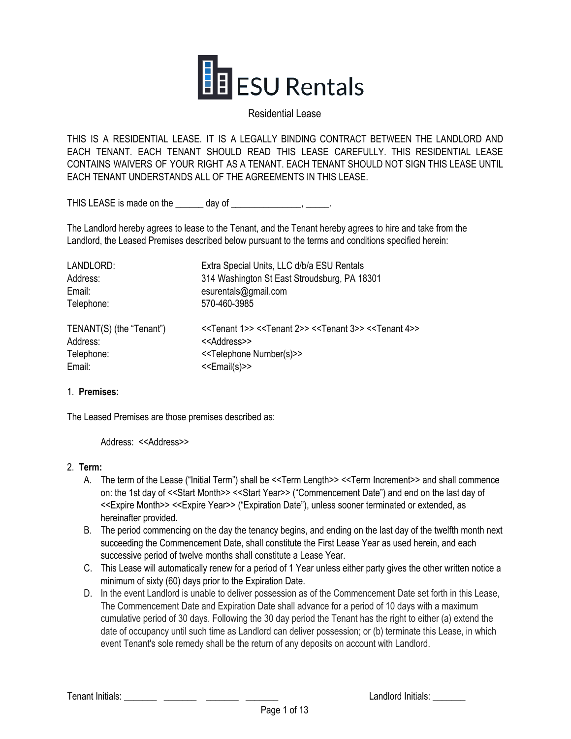

#### Residential Lease

THIS IS A RESIDENTIAL LEASE. IT IS A LEGALLY BINDING CONTRACT BETWEEN THE LANDLORD AND EACH TENANT. EACH TENANT SHOULD READ THIS LEASE CAREFULLY. THIS RESIDENTIAL LEASE CONTAINS WAIVERS OF YOUR RIGHT AS A TENANT. EACH TENANT SHOULD NOT SIGN THIS LEASE UNTIL EACH TENANT UNDERSTANDS ALL OF THE AGREEMENTS IN THIS LEASE.

THIS LEASE is made on the day of the state of the state of the state of the state of the state of the state of the state of the state of the state of the state of the state of the state of the state of the state of the sta

The Landlord hereby agrees to lease to the Tenant, and the Tenant hereby agrees to hire and take from the Landlord, the Leased Premises described below pursuant to the terms and conditions specified herein:

| LANDLORD:                | Extra Special Units, LLC d/b/a ESU Rentals                                                                                |
|--------------------------|---------------------------------------------------------------------------------------------------------------------------|
| Address:                 | 314 Washington St East Stroudsburg, PA 18301                                                                              |
| Email:                   | esurentals@gmail.com                                                                                                      |
| Telephone:               | 570-460-3985                                                                                                              |
| TENANT(S) (the "Tenant") | < <tenant 1="">&gt; &lt;<tenant 2="">&gt; &lt;<tenant 3="">&gt; &lt;<tenant 4="">&gt;</tenant></tenant></tenant></tenant> |
| Address:                 | < <address>&gt;</address>                                                                                                 |
| Telephone:               | < <telephone number(s)="">&gt;</telephone>                                                                                |
| Email:                   | < <email(s)>&gt;</email(s)>                                                                                               |

#### 1. **Premises:**

The Leased Premises are those premises described as:

Address: <<Address>>

#### 2. **Term:**

- A. The term of the Lease ("Initial Term") shall be <<Term Length>> <<Term Increment>> and shall commence on: the 1st day of <<Start Month>> <<Start Year>> ("Commencement Date") and end on the last day of <<Expire Month>> <<Expire Year>> ("Expiration Date"), unless sooner terminated or extended, as hereinafter provided.
- B. The period commencing on the day the tenancy begins, and ending on the last day of the twelfth month next succeeding the Commencement Date, shall constitute the First Lease Year as used herein, and each successive period of twelve months shall constitute a Lease Year.
- C. This Lease will automatically renew for a period of 1 Year unless either party gives the other written notice a minimum of sixty (60) days prior to the Expiration Date.
- D. In the event Landlord is unable to deliver possession as of the Commencement Date set forth in this Lease, The Commencement Date and Expiration Date shall advance for a period of 10 days with a maximum cumulative period of 30 days. Following the 30 day period the Tenant has the right to either (a) extend the date of occupancy until such time as Landlord can deliver possession; or (b) terminate this Lease, in which event Tenant's sole remedy shall be the return of any deposits on account with Landlord.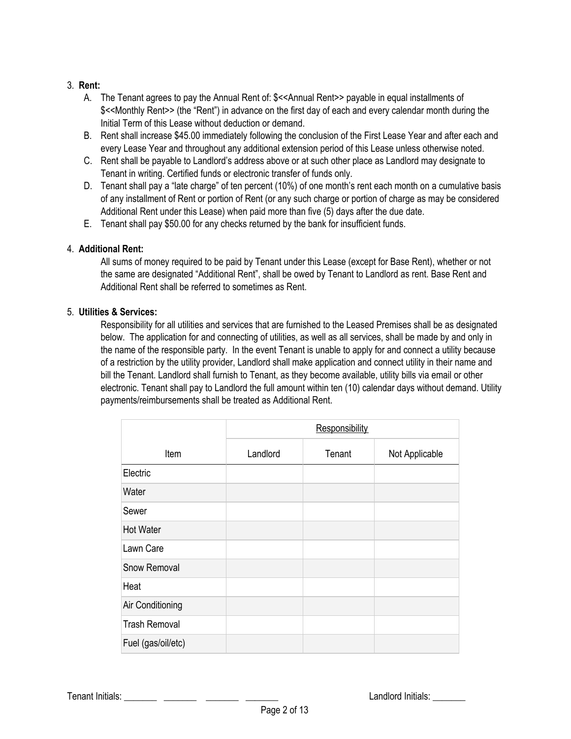## 3. **Rent:**

- A. The Tenant agrees to pay the Annual Rent of: \$<<Annual Rent>> payable in equal installments of \$<<Monthly Rent>> (the "Rent") in advance on the first day of each and every calendar month during the Initial Term of this Lease without deduction or demand.
- B. Rent shall increase \$45.00 immediately following the conclusion of the First Lease Year and after each and every Lease Year and throughout any additional extension period of this Lease unless otherwise noted.
- C. Rent shall be payable to Landlord's address above or at such other place as Landlord may designate to Tenant in writing. Certified funds or electronic transfer of funds only.
- D. Tenant shall pay a "late charge" of ten percent (10%) of one month's rent each month on a cumulative basis of any installment of Rent or portion of Rent (or any such charge or portion of charge as may be considered Additional Rent under this Lease) when paid more than five (5) days after the due date.
- E. Tenant shall pay \$50.00 for any checks returned by the bank for insufficient funds.

## 4. **Additional Rent:**

All sums of money required to be paid by Tenant under this Lease (except for Base Rent), whether or not the same are designated "Additional Rent", shall be owed by Tenant to Landlord as rent. Base Rent and Additional Rent shall be referred to sometimes as Rent.

## 5. **Utilities & Services:**

Responsibility for all utilities and services that are furnished to the Leased Premises shall be as designated below. The application for and connecting of utilities, as well as all services, shall be made by and only in the name of the responsible party. In the event Tenant is unable to apply for and connect a utility because of a restriction by the utility provider, Landlord shall make application and connect utility in their name and bill the Tenant. Landlord shall furnish to Tenant, as they become available, utility bills via email or other electronic. Tenant shall pay to Landlord the full amount within ten (10) calendar days without demand. Utility payments/reimbursements shall be treated as Additional Rent.

|                      | Responsibility |        |                |
|----------------------|----------------|--------|----------------|
| Item                 | Landlord       | Tenant | Not Applicable |
| Electric             |                |        |                |
| Water                |                |        |                |
| Sewer                |                |        |                |
| Hot Water            |                |        |                |
| Lawn Care            |                |        |                |
| <b>Snow Removal</b>  |                |        |                |
| Heat                 |                |        |                |
| Air Conditioning     |                |        |                |
| <b>Trash Removal</b> |                |        |                |
| Fuel (gas/oil/etc)   |                |        |                |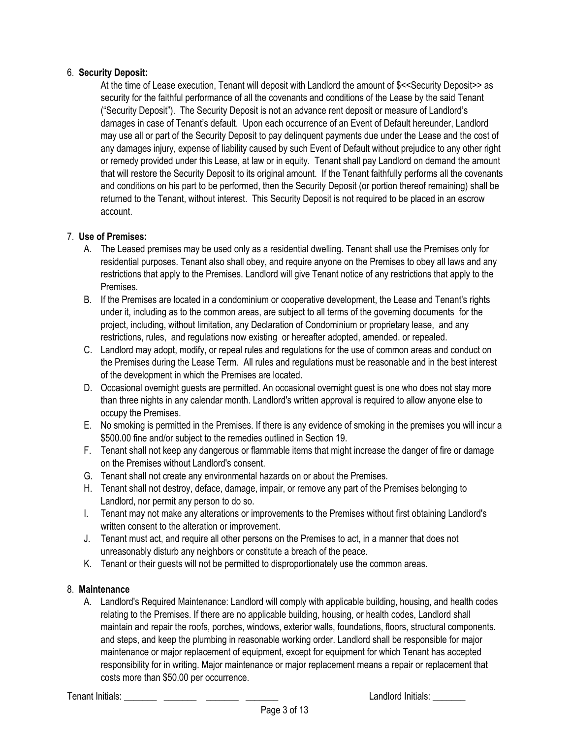## 6. **Security Deposit:**

At the time of Lease execution, Tenant will deposit with Landlord the amount of \$<<Security Deposit>> as security for the faithful performance of all the covenants and conditions of the Lease by the said Tenant ("Security Deposit"). The Security Deposit is not an advance rent deposit or measure of Landlord's damages in case of Tenant's default. Upon each occurrence of an Event of Default hereunder, Landlord may use all or part of the Security Deposit to pay delinquent payments due under the Lease and the cost of any damages injury, expense of liability caused by such Event of Default without prejudice to any other right or remedy provided under this Lease, at law or in equity. Tenant shall pay Landlord on demand the amount that will restore the Security Deposit to its original amount. If the Tenant faithfully performs all the covenants and conditions on his part to be performed, then the Security Deposit (or portion thereof remaining) shall be returned to the Tenant, without interest. This Security Deposit is not required to be placed in an escrow account.

## 7. **Use of Premises:**

- A. The Leased premises may be used only as a residential dwelling. Tenant shall use the Premises only for residential purposes. Tenant also shall obey, and require anyone on the Premises to obey all laws and any restrictions that apply to the Premises. Landlord will give Tenant notice of any restrictions that apply to the Premises.
- B. If the Premises are located in a condominium or cooperative development, the Lease and Tenant's rights under it, including as to the common areas, are subject to all terms of the governing documents for the project, including, without limitation, any Declaration of Condominium or proprietary lease, and any restrictions, rules, and regulations now existing or hereafter adopted, amended. or repealed.
- C. Landlord may adopt, modify, or repeal rules and regulations for the use of common areas and conduct on the Premises during the Lease Term. All rules and regulations must be reasonable and in the best interest of the development in which the Premises are located.
- D. Occasional overnight guests are permitted. An occasional overnight guest is one who does not stay more than three nights in any calendar month. Landlord's written approval is required to allow anyone else to occupy the Premises.
- E. No smoking is permitted in the Premises. If there is any evidence of smoking in the premises you will incur a \$500.00 fine and/or subject to the remedies outlined in Section 19.
- F. Tenant shall not keep any dangerous or flammable items that might increase the danger of fire or damage on the Premises without Landlord's consent.
- G. Tenant shall not create any environmental hazards on or about the Premises.
- H. Tenant shall not destroy, deface, damage, impair, or remove any part of the Premises belonging to Landlord, nor permit any person to do so.
- I. Tenant may not make any alterations or improvements to the Premises without first obtaining Landlord's written consent to the alteration or improvement.
- J. Tenant must act, and require all other persons on the Premises to act, in a manner that does not unreasonably disturb any neighbors or constitute a breach of the peace.
- K. Tenant or their guests will not be permitted to disproportionately use the common areas.

## 8. **Maintenance**

A. Landlord's Required Maintenance: Landlord will comply with applicable building, housing, and health codes relating to the Premises. If there are no applicable building, housing, or health codes, Landlord shall maintain and repair the roofs, porches, windows, exterior walls, foundations, floors, structural components. and steps, and keep the plumbing in reasonable working order. Landlord shall be responsible for major maintenance or major replacement of equipment, except for equipment for which Tenant has accepted responsibility for in writing. Major maintenance or major replacement means a repair or replacement that costs more than \$50.00 per occurrence.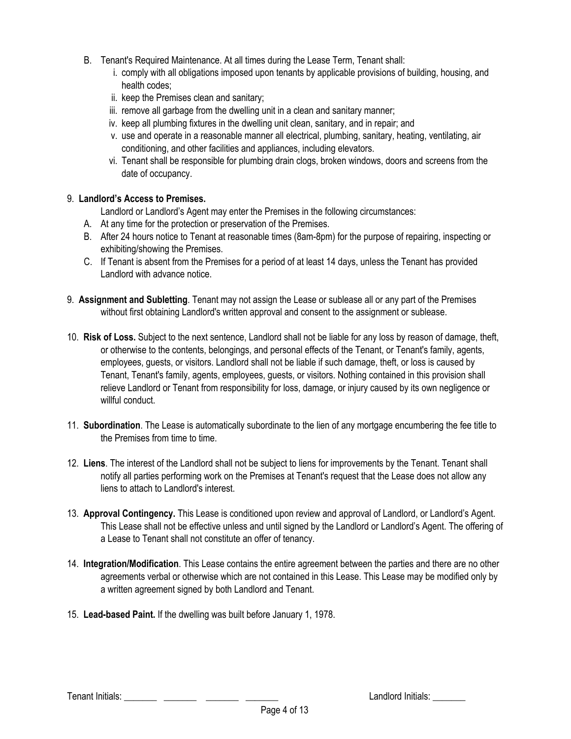- B. Tenant's Required Maintenance. At all times during the Lease Term, Tenant shall:
	- i. comply with all obligations imposed upon tenants by applicable provisions of building, housing, and health codes;
	- ii. keep the Premises clean and sanitary;
	- iii. remove all garbage from the dwelling unit in a clean and sanitary manner;
	- iv. keep all plumbing fixtures in the dwelling unit clean, sanitary, and in repair; and
	- v. use and operate in a reasonable manner all electrical, plumbing, sanitary, heating, ventilating, air conditioning, and other facilities and appliances, including elevators.
	- vi. Tenant shall be responsible for plumbing drain clogs, broken windows, doors and screens from the date of occupancy.

## 9. **Landlord's Access to Premises.**

Landlord or Landlord's Agent may enter the Premises in the following circumstances:

- A. At any time for the protection or preservation of the Premises.
- B. After 24 hours notice to Tenant at reasonable times (8am-8pm) for the purpose of repairing, inspecting or exhibiting/showing the Premises.
- C. If Tenant is absent from the Premises for a period of at least 14 days, unless the Tenant has provided Landlord with advance notice.
- 9. **Assignment and Subletting**. Tenant may not assign the Lease or sublease all or any part of the Premises without first obtaining Landlord's written approval and consent to the assignment or sublease.
- 10. **Risk of Loss.** Subject to the next sentence, Landlord shall not be liable for any loss by reason of damage, theft, or otherwise to the contents, belongings, and personal effects of the Tenant, or Tenant's family, agents, employees, guests, or visitors. Landlord shall not be liable if such damage, theft, or loss is caused by Tenant, Tenant's family, agents, employees, guests, or visitors. Nothing contained in this provision shall relieve Landlord or Tenant from responsibility for loss, damage, or injury caused by its own negligence or willful conduct.
- 11. **Subordination**. The Lease is automatically subordinate to the lien of any mortgage encumbering the fee title to the Premises from time to time.
- 12. **Liens**. The interest of the Landlord shall not be subject to liens for improvements by the Tenant. Tenant shall notify all parties performing work on the Premises at Tenant's request that the Lease does not allow any liens to attach to Landlord's interest.
- 13. **Approval Contingency.** This Lease is conditioned upon review and approval of Landlord, or Landlord's Agent. This Lease shall not be effective unless and until signed by the Landlord or Landlord's Agent. The offering of a Lease to Tenant shall not constitute an offer of tenancy.
- 14. **Integration/Modification**. This Lease contains the entire agreement between the parties and there are no other agreements verbal or otherwise which are not contained in this Lease. This Lease may be modified only by a written agreement signed by both Landlord and Tenant.
- 15. **Lead-based Paint.** If the dwelling was built before January 1, 1978.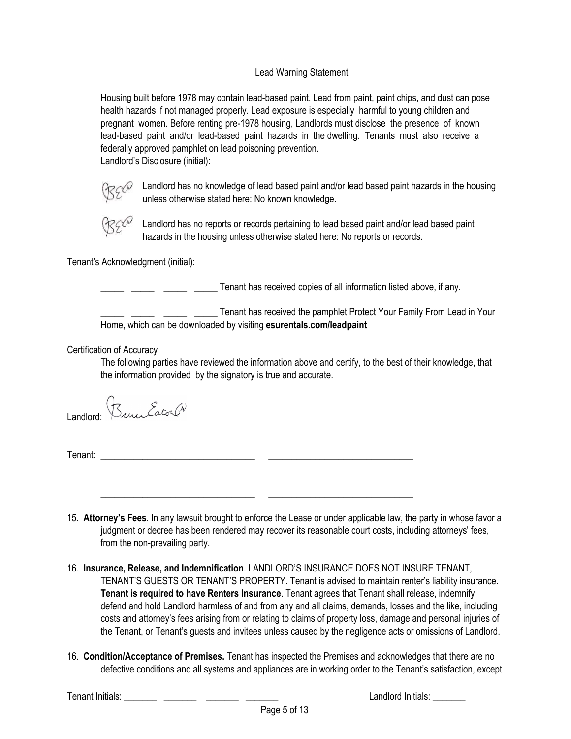## Lead Warning Statement

Housing built before 1978 may contain lead-based paint. Lead from paint, paint chips, and dust can pose health hazards if not managed properly. Lead exposure is especially harmful to young children and pregnant women. Before renting pre-1978 housing, Landlords must disclose the presence of known lead-based paint and/or lead-based paint hazards in the dwelling. Tenants must also receive a federally approved pamphlet on lead poisoning prevention. Landlord's Disclosure (initial):



 $\mathbb{R}$  Ce candlord has no knowledge of lead based paint and/or lead based paint hazards in the housing unless otherwise stated here: No known knowledge.



Landlord has no reports or records pertaining to lead based paint and/or lead based paint hazards in the housing unless otherwise stated here: No reports or records.

Tenant's Acknowledgment (initial):

\_\_\_\_\_ \_\_\_\_\_ \_\_\_\_\_ \_\_\_\_\_ Tenant has received copies of all information listed above, if any.

Tenant has received the pamphlet Protect Your Family From Lead in Your Home, which can be downloaded by visiting **esurentals.com/leadpaint**

Certification of Accuracy

The following parties have reviewed the information above and certify, to the best of their knowledge, that the information provided by the signatory is true and accurate.

Landlord: *Bruce Eaton Ch* 

Tenant:

15. **Attorney's Fees**. In any lawsuit brought to enforce the Lease or under applicable law, the party in whose favor a judgment or decree has been rendered may recover its reasonable court costs, including attorneys' fees, from the non-prevailing party.

\_\_\_\_\_\_\_\_\_\_\_\_\_\_\_\_\_\_\_\_\_\_\_\_\_\_\_\_\_\_\_\_\_ \_\_\_\_\_\_\_\_\_\_\_\_\_\_\_\_\_\_\_\_\_\_\_\_\_\_\_\_\_\_\_

- 16. **Insurance, Release, and Indemnification**. LANDLORD'S INSURANCE DOES NOT INSURE TENANT, TENANT'S GUESTS OR TENANT'S PROPERTY. Tenant is advised to maintain renter's liability insurance. **Tenant is required to have Renters Insurance**. Tenant agrees that Tenant shall release, indemnify, defend and hold Landlord harmless of and from any and all claims, demands, losses and the like, including costs and attorney's fees arising from or relating to claims of property loss, damage and personal injuries of the Tenant, or Tenant's guests and invitees unless caused by the negligence acts or omissions of Landlord.
- 16. **Condition/Acceptance of Premises.** Tenant has inspected the Premises and acknowledges that there are no defective conditions and all systems and appliances are in working order to the Tenant's satisfaction, except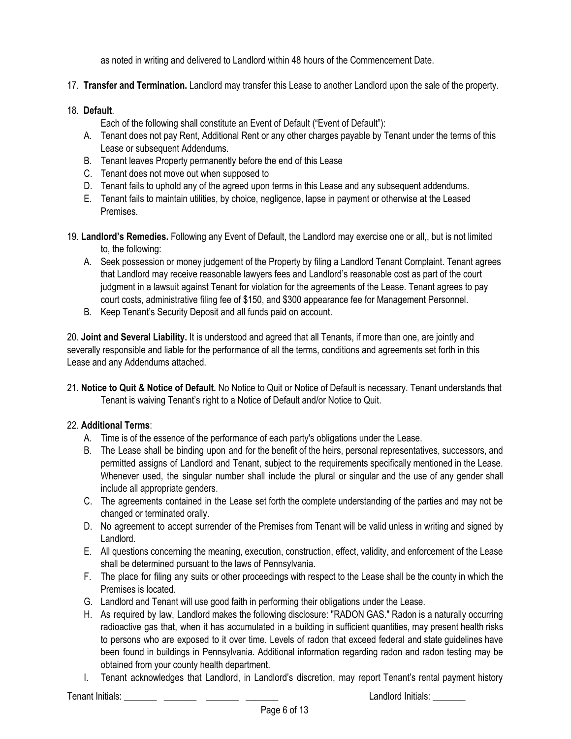as noted in writing and delivered to Landlord within 48 hours of the Commencement Date.

17. **Transfer and Termination.** Landlord may transfer this Lease to another Landlord upon the sale of the property.

#### 18. **Default**.

Each of the following shall constitute an Event of Default ("Event of Default"):

- A. Tenant does not pay Rent, Additional Rent or any other charges payable by Tenant under the terms of this Lease or subsequent Addendums.
- B. Tenant leaves Property permanently before the end of this Lease
- C. Tenant does not move out when supposed to
- D. Tenant fails to uphold any of the agreed upon terms in this Lease and any subsequent addendums.
- E. Tenant fails to maintain utilities, by choice, negligence, lapse in payment or otherwise at the Leased Premises.
- 19. **Landlord's Remedies.** Following any Event of Default, the Landlord may exercise one or all,, but is not limited to, the following:
	- A. Seek possession or money judgement of the Property by filing a Landlord Tenant Complaint. Tenant agrees that Landlord may receive reasonable lawyers fees and Landlord's reasonable cost as part of the court judgment in a lawsuit against Tenant for violation for the agreements of the Lease. Tenant agrees to pay court costs, administrative filing fee of \$150, and \$300 appearance fee for Management Personnel.
	- B. Keep Tenant's Security Deposit and all funds paid on account.

20. **Joint and Several Liability.** It is understood and agreed that all Tenants, if more than one, are jointly and severally responsible and liable for the performance of all the terms, conditions and agreements set forth in this Lease and any Addendums attached.

21. **Notice to Quit & Notice of Default.** No Notice to Quit or Notice of Default is necessary. Tenant understands that Tenant is waiving Tenant's right to a Notice of Default and/or Notice to Quit.

## 22. **Additional Terms**:

- A. Time is of the essence of the performance of each party's obligations under the Lease.
- B. The Lease shall be binding upon and for the benefit of the heirs, personal representatives, successors, and permitted assigns of Landlord and Tenant, subject to the requirements specifically mentioned in the Lease. Whenever used, the singular number shall include the plural or singular and the use of any gender shall include all appropriate genders.
- C. The agreements contained in the Lease set forth the complete understanding of the parties and may not be changed or terminated orally.
- D. No agreement to accept surrender of the Premises from Tenant will be valid unless in writing and signed by Landlord.
- E. All questions concerning the meaning, execution, construction, effect, validity, and enforcement of the Lease shall be determined pursuant to the laws of Pennsylvania.
- F. The place for filing any suits or other proceedings with respect to the Lease shall be the county in which the Premises is located.
- G. Landlord and Tenant will use good faith in performing their obligations under the Lease.
- H. As required by law, Landlord makes the following disclosure: "RADON GAS." Radon is a naturally occurring radioactive gas that, when it has accumulated in a building in sufficient quantities, may present health risks to persons who are exposed to it over time. Levels of radon that exceed federal and state guidelines have been found in buildings in Pennsylvania. Additional information regarding radon and radon testing may be obtained from your county health department.
- I. Tenant acknowledges that Landlord, in Landlord's discretion, may report Tenant's rental payment history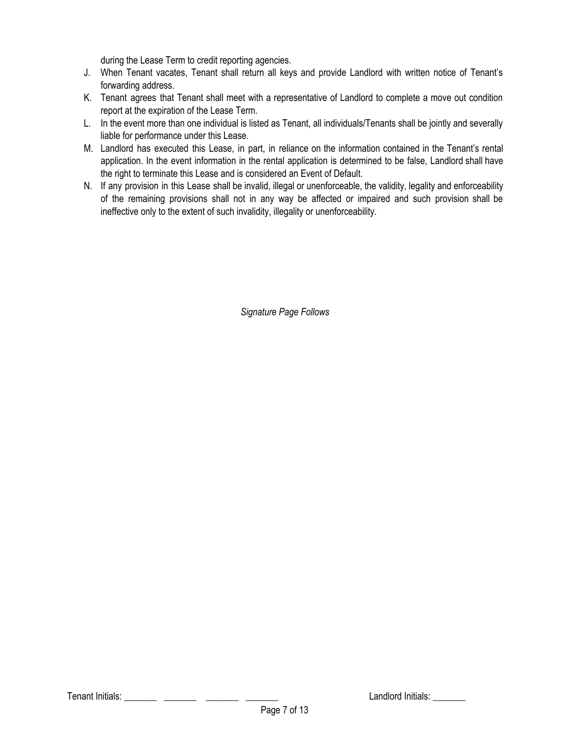during the Lease Term to credit reporting agencies.

- J. When Tenant vacates, Tenant shall return all keys and provide Landlord with written notice of Tenant's forwarding address.
- K. Tenant agrees that Tenant shall meet with a representative of Landlord to complete a move out condition report at the expiration of the Lease Term.
- L. In the event more than one individual is listed as Tenant, all individuals/Tenants shall be jointly and severally liable for performance under this Lease.
- M. Landlord has executed this Lease, in part, in reliance on the information contained in the Tenant's rental application. In the event information in the rental application is determined to be false, Landlord shall have the right to terminate this Lease and is considered an Event of Default.
- N. If any provision in this Lease shall be invalid, illegal or unenforceable, the validity, legality and enforceability of the remaining provisions shall not in any way be affected or impaired and such provision shall be ineffective only to the extent of such invalidity, illegality or unenforceability.

*Signature Page Follows*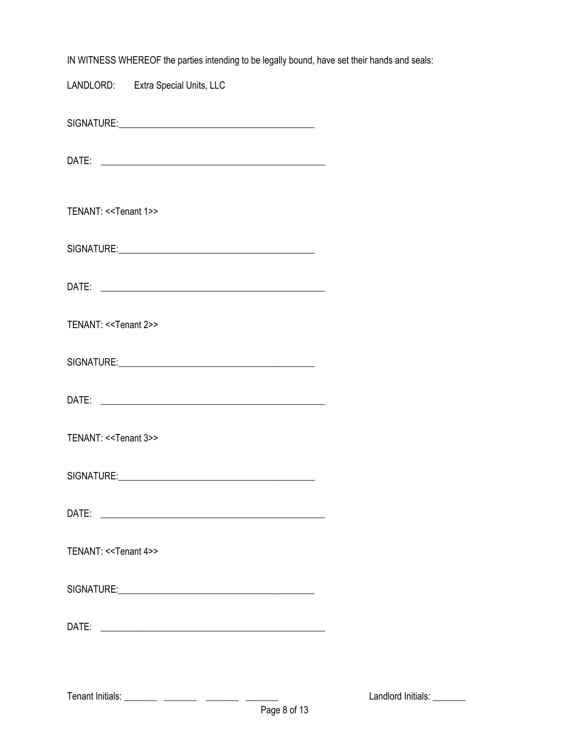| IN WITNESS WHEREOF the parties intending to be legally bound, have set their hands and seals: |  |
|-----------------------------------------------------------------------------------------------|--|
| LANDLORD: Extra Special Units, LLC                                                            |  |
|                                                                                               |  |
|                                                                                               |  |
| TENANT: < <tenant 1="">&gt;</tenant>                                                          |  |
|                                                                                               |  |
|                                                                                               |  |
| TENANT: < <tenant 2="">&gt;</tenant>                                                          |  |
|                                                                                               |  |
|                                                                                               |  |
| TENANT: < <tenant 3="">&gt;</tenant>                                                          |  |
|                                                                                               |  |
|                                                                                               |  |
| TENANT: < <tenant 4="">&gt;</tenant>                                                          |  |
|                                                                                               |  |
|                                                                                               |  |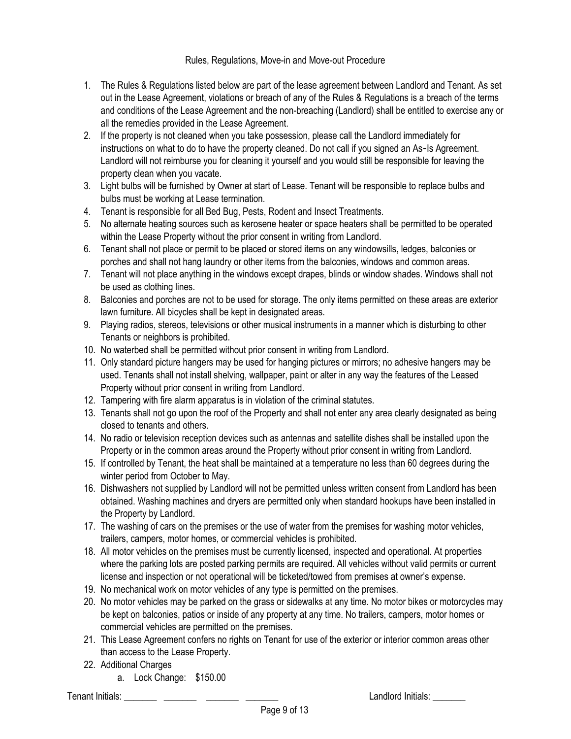Rules, Regulations, Move-in and Move-out Procedure

- 1. The Rules & Regulations listed below are part of the lease agreement between Landlord and Tenant. As set out in the Lease Agreement, violations or breach of any of the Rules & Regulations is a breach of the terms and conditions of the Lease Agreement and the non-breaching (Landlord) shall be entitled to exercise any or all the remedies provided in the Lease Agreement.
- 2. If the property is not cleaned when you take possession, please call the Landlord immediately for instructions on what to do to have the property cleaned. Do not call if you signed an As-Is Agreement. Landlord will not reimburse you for cleaning it yourself and you would still be responsible for leaving the property clean when you vacate.
- 3. Light bulbs will be furnished by Owner at start of Lease. Tenant will be responsible to replace bulbs and bulbs must be working at Lease termination.
- 4. Tenant is responsible for all Bed Bug, Pests, Rodent and Insect Treatments.
- 5. No alternate heating sources such as kerosene heater or space heaters shall be permitted to be operated within the Lease Property without the prior consent in writing from Landlord.
- 6. Tenant shall not place or permit to be placed or stored items on any windowsills, ledges, balconies or porches and shall not hang laundry or other items from the balconies, windows and common areas.
- 7. Tenant will not place anything in the windows except drapes, blinds or window shades. Windows shall not be used as clothing lines.
- 8. Balconies and porches are not to be used for storage. The only items permitted on these areas are exterior lawn furniture. All bicycles shall be kept in designated areas.
- 9. Playing radios, stereos, televisions or other musical instruments in a manner which is disturbing to other Tenants or neighbors is prohibited.
- 10. No waterbed shall be permitted without prior consent in writing from Landlord.
- 11. Only standard picture hangers may be used for hanging pictures or mirrors; no adhesive hangers may be used. Tenants shall not install shelving, wallpaper, paint or alter in any way the features of the Leased Property without prior consent in writing from Landlord.
- 12. Tampering with fire alarm apparatus is in violation of the criminal statutes.
- 13. Tenants shall not go upon the roof of the Property and shall not enter any area clearly designated as being closed to tenants and others.
- 14. No radio or television reception devices such as antennas and satellite dishes shall be installed upon the Property or in the common areas around the Property without prior consent in writing from Landlord.
- 15. If controlled by Tenant, the heat shall be maintained at a temperature no less than 60 degrees during the winter period from October to May.
- 16. Dishwashers not supplied by Landlord will not be permitted unless written consent from Landlord has been obtained. Washing machines and dryers are permitted only when standard hookups have been installed in the Property by Landlord.
- 17. The washing of cars on the premises or the use of water from the premises for washing motor vehicles, trailers, campers, motor homes, or commercial vehicles is prohibited.
- 18. All motor vehicles on the premises must be currently licensed, inspected and operational. At properties where the parking lots are posted parking permits are required. All vehicles without valid permits or current license and inspection or not operational will be ticketed/towed from premises at owner's expense.
- 19. No mechanical work on motor vehicles of any type is permitted on the premises.
- 20. No motor vehicles may be parked on the grass or sidewalks at any time. No motor bikes or motorcycles may be kept on balconies, patios or inside of any property at any time. No trailers, campers, motor homes or commercial vehicles are permitted on the premises.
- 21. This Lease Agreement confers no rights on Tenant for use of the exterior or interior common areas other than access to the Lease Property.
- 22. Additional Charges
	- a. Lock Change: \$150.00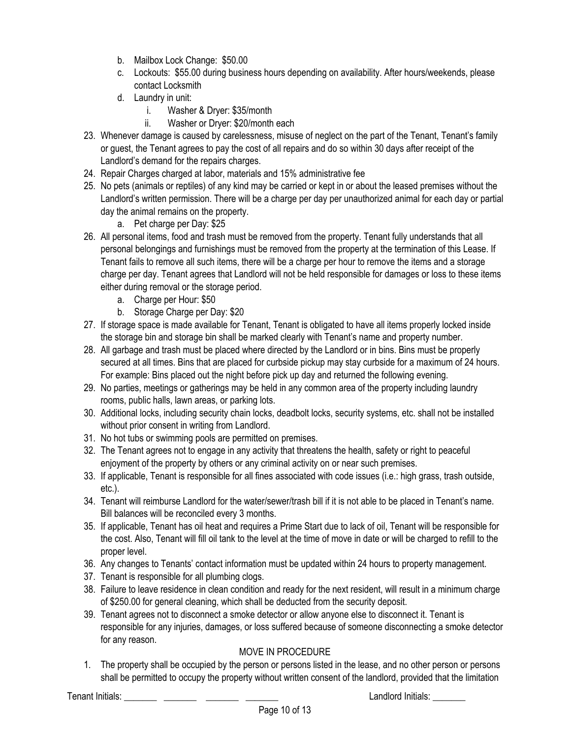- b. Mailbox Lock Change: \$50.00
- c. Lockouts: \$55.00 during business hours depending on availability. After hours/weekends, please contact Locksmith
- d. Laundry in unit:
	- i. Washer & Dryer: \$35/month
	- ii. Washer or Dryer: \$20/month each
- 23. Whenever damage is caused by carelessness, misuse of neglect on the part of the Tenant, Tenant's family or guest, the Tenant agrees to pay the cost of all repairs and do so within 30 days after receipt of the Landlord's demand for the repairs charges.
- 24. Repair Charges charged at labor, materials and 15% administrative fee
- 25. No pets (animals or reptiles) of any kind may be carried or kept in or about the leased premises without the Landlord's written permission. There will be a charge per day per unauthorized animal for each day or partial day the animal remains on the property.
	- a. Pet charge per Day: \$25
- 26. All personal items, food and trash must be removed from the property. Tenant fully understands that all personal belongings and furnishings must be removed from the property at the termination of this Lease. If Tenant fails to remove all such items, there will be a charge per hour to remove the items and a storage charge per day. Tenant agrees that Landlord will not be held responsible for damages or loss to these items either during removal or the storage period.
	- a. Charge per Hour: \$50
	- b. Storage Charge per Day: \$20
- 27. If storage space is made available for Tenant, Tenant is obligated to have all items properly locked inside the storage bin and storage bin shall be marked clearly with Tenant's name and property number.
- 28. All garbage and trash must be placed where directed by the Landlord or in bins. Bins must be properly secured at all times. Bins that are placed for curbside pickup may stay curbside for a maximum of 24 hours. For example: Bins placed out the night before pick up day and returned the following evening.
- 29. No parties, meetings or gatherings may be held in any common area of the property including laundry rooms, public halls, lawn areas, or parking lots.
- 30. Additional locks, including security chain locks, deadbolt locks, security systems, etc. shall not be installed without prior consent in writing from Landlord.
- 31. No hot tubs or swimming pools are permitted on premises.
- 32. The Tenant agrees not to engage in any activity that threatens the health, safety or right to peaceful enjoyment of the property by others or any criminal activity on or near such premises.
- 33. If applicable, Tenant is responsible for all fines associated with code issues (i.e.: high grass, trash outside, etc.).
- 34. Tenant will reimburse Landlord for the water/sewer/trash bill if it is not able to be placed in Tenant's name. Bill balances will be reconciled every 3 months.
- 35. If applicable, Tenant has oil heat and requires a Prime Start due to lack of oil, Tenant will be responsible for the cost. Also, Tenant will fill oil tank to the level at the time of move in date or will be charged to refill to the proper level.
- 36. Any changes to Tenants' contact information must be updated within 24 hours to property management.
- 37. Tenant is responsible for all plumbing clogs.
- 38. Failure to leave residence in clean condition and ready for the next resident, will result in a minimum charge of \$250.00 for general cleaning, which shall be deducted from the security deposit.
- 39. Tenant agrees not to disconnect a smoke detector or allow anyone else to disconnect it. Tenant is responsible for any injuries, damages, or loss suffered because of someone disconnecting a smoke detector for any reason.

# MOVE IN PROCEDURE

1. The property shall be occupied by the person or persons listed in the lease, and no other person or persons shall be permitted to occupy the property without written consent of the landlord, provided that the limitation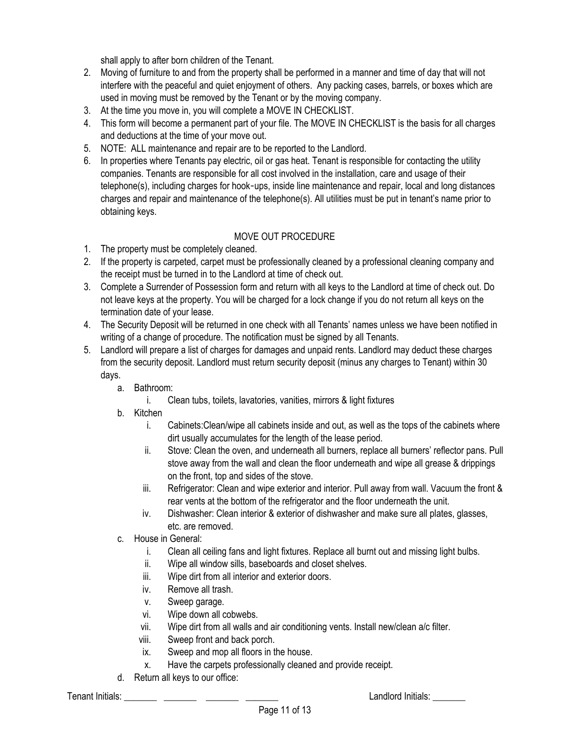shall apply to after born children of the Tenant.

- 2. Moving of furniture to and from the property shall be performed in a manner and time of day that will not interfere with the peaceful and quiet enjoyment of others. Any packing cases, barrels, or boxes which are used in moving must be removed by the Tenant or by the moving company.
- 3. At the time you move in, you will complete a MOVE IN CHECKLIST.
- 4. This form will become a permanent part of your file. The MOVE IN CHECKLIST is the basis for all charges and deductions at the time of your move out.
- 5. NOTE: ALL maintenance and repair are to be reported to the Landlord.
- 6. In properties where Tenants pay electric, oil or gas heat. Tenant is responsible for contacting the utility companies. Tenants are responsible for all cost involved in the installation, care and usage of their telephone(s), including charges for hook-ups, inside line maintenance and repair, local and long distances charges and repair and maintenance of the telephone(s). All utilities must be put in tenant's name prior to obtaining keys.

# MOVE OUT PROCEDURE

- 1. The property must be completely cleaned.
- 2. If the property is carpeted, carpet must be professionally cleaned by a professional cleaning company and the receipt must be turned in to the Landlord at time of check out.
- 3. Complete a Surrender of Possession form and return with all keys to the Landlord at time of check out. Do not leave keys at the property. You will be charged for a lock change if you do not return all keys on the termination date of your lease.
- 4. The Security Deposit will be returned in one check with all Tenants' names unless we have been notified in writing of a change of procedure. The notification must be signed by all Tenants.
- 5. Landlord will prepare a list of charges for damages and unpaid rents. Landlord may deduct these charges from the security deposit. Landlord must return security deposit (minus any charges to Tenant) within 30 days.
	- a. Bathroom:
		- i. Clean tubs, toilets, lavatories, vanities, mirrors & light fixtures
	- b. Kitchen
		- i. Cabinets:Clean/wipe all cabinets inside and out, as well as the tops of the cabinets where dirt usually accumulates for the length of the lease period.
		- ii. Stove: Clean the oven, and underneath all burners, replace all burners' reflector pans. Pull stove away from the wall and clean the floor underneath and wipe all grease & drippings on the front, top and sides of the stove.
		- iii. Refrigerator: Clean and wipe exterior and interior. Pull away from wall. Vacuum the front & rear vents at the bottom of the refrigerator and the floor underneath the unit.
		- iv. Dishwasher: Clean interior & exterior of dishwasher and make sure all plates, glasses, etc. are removed.
	- c. House in General:
		- i. Clean all ceiling fans and light fixtures. Replace all burnt out and missing light bulbs.
		- ii. Wipe all window sills, baseboards and closet shelves.
		- iii. Wipe dirt from all interior and exterior doors.
		- iv. Remove all trash.
		- v. Sweep garage.
		- vi. Wipe down all cobwebs.
		- vii. Wipe dirt from all walls and air conditioning vents. Install new/clean a/c filter.
		- viii. Sweep front and back porch.
		- ix. Sweep and mop all floors in the house.
		- x. Have the carpets professionally cleaned and provide receipt.
	- d. Return all keys to our office: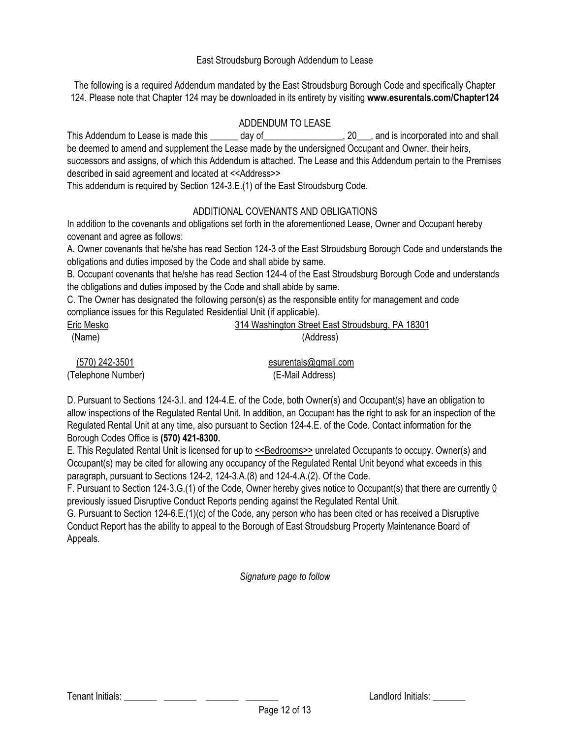#### East Stroudsburg Borough Addendum to Lease

The following is a required Addendum mandated by the East Stroudsburg Borough Code and specifically Chapter 124. Please note that Chapter 124 may be downloaded in its entirety by visiting **www.esurentals.com/Chapter124**

## ADDENDUM TO LEASE

This Addendum to Lease is made this day of the set of the set of the set of the set of the set of the set of t be deemed to amend and supplement the Lease made by the undersigned Occupant and Owner, their heirs, successors and assigns, of which this Addendum is attached. The Lease and this Addendum pertain to the Premises

described in said agreement and located at <<Address>>

This addendum is required by Section 124-3.E.(1) of the East Stroudsburg Code.

## ADDITIONAL COVENANTS AND OBLIGATIONS

In addition to the covenants and obligations set forth in the aforementioned Lease, Owner and Occupant hereby covenant and agree as follows:

A. Owner covenants that he/she has read Section 124-3 of the East Stroudsburg Borough Code and understands the obligations and duties imposed by the Code and shall abide by same.

B. Occupant covenants that he/she has read Section 124-4 of the East Stroudsburg Borough Code and understands the obligations and duties imposed by the Code and shall abide by same.

C. The Owner has designated the following person(s) as the responsible entity for management and code compliance issues for this Regulated Residential Unit (if applicable).

| Eric Mesko | 314 Washington Street East Stroudsburg, PA 18301 |
|------------|--------------------------------------------------|
| (Name)     | (Address)                                        |

|                    | (570) 242-3501 |
|--------------------|----------------|
| (Telephone Number) |                |

esurentals@gmail.com (E-Mail Address)

D. Pursuant to Sections 124-3.I. and 124-4.E. of the Code, both Owner(s) and Occupant(s) have an obligation to allow inspections of the Regulated Rental Unit. In addition, an Occupant has the right to ask for an inspection of the Regulated Rental Unit at any time, also pursuant to Section 124-4.E. of the Code. Contact information for the Borough Codes Office is **(570) 421-8300.**

E. This Regulated Rental Unit is licensed for up to <<Bedrooms>> unrelated Occupants to occupy. Owner(s) and Occupant(s) may be cited for allowing any occupancy of the Regulated Rental Unit beyond what exceeds in this paragraph, pursuant to Sections 124-2, 124-3.A.(8) and 124-4.A.(2). Of the Code.

F. Pursuant to Section 124-3.G.(1) of the Code, Owner hereby gives notice to Occupant(s) that there are currently 0 previously issued Disruptive Conduct Reports pending against the Regulated Rental Unit.

G. Pursuant to Section 124-6.E.(1)(c) of the Code, any person who has been cited or has received a Disruptive Conduct Report has the ability to appeal to the Borough of East Stroudsburg Property Maintenance Board of Appeals.

*Signature page to follow*